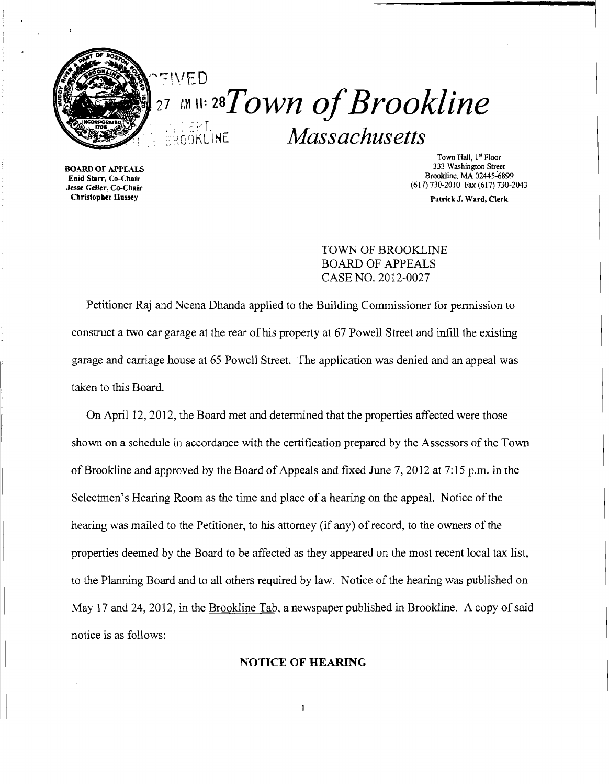

 $_{{}^{27}}$   $\scriptstyle\rm$  m 11:  ${\scriptstyle\rm 28}T$ own of Brookline  $(7P)$ \ :.);~OOKL·I~E *Massachusetts* 

BOARD OF APPEALS Enid Starr, Co-Chair Jesse Geller, Co-Chair Christopber Hussey

Town Hall, 1st Floor 333 Washington Street Brookline, MA 02445-6899 (617) 730-2010 Fax (617) 730-2043

Patrick J. Ward, Clerk

TOWN OF BROOKLINE BOARD OF APPEALS CASE NO. 2012-0027

Petitioner Raj and Neena Dhanda applied to the Building Commissioner for permission to construct a two car garage at the rear of his property at 67 Powell Street and infill the existing garage and carriage house at 65 Powell Street. The application was denied and an appeal was taken to this Board.

On April 12,2012, the Board met and detennined that the properties affected were those shown on a schedule in accordance with the certification prepared by the Assessors of the Town of Brookline and approved by the Board of Appeals and fixed June 7, 2012 at 7:15 p.m. in the Selectmen's Hearing Room as the time and place of a hearing on the appeal. Notice of the hearing was mailed to the Petitioner, to his attorney (if any) of record, to the owners of the properties deemed by the Board to be affected as they appeared on the most recent local tax list, to the Planning Board and to all others required by law. Notice of the hearing was published on May 17 and 24, 2012, in the Brookline Tab, a newspaper published in Brookline. A copy of said notice is as follows:

## NOTICE OF HEARING

 $\mathbf{1}$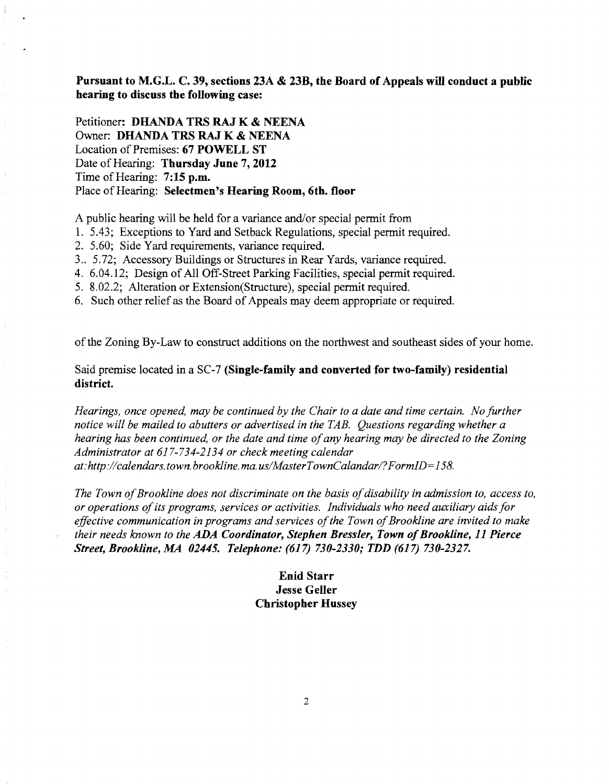**Pursuant to M.G.L. C. 39, sections 23A & 23B, the Board of Appeals will conduct a public hearing to discuss the following case:** 

Petitioner: **DHANDA TRS RAJ K & NEENA**  Owner: **DHANDA TRS RAJ K & NEENA**  Location of Premises: **67 POWELL ST**  Date of Hearing: Thursday June 7, 2012 Time of Hearing: **7:15 p.m.**  Place of Hearing: Selectmen's Hearing Room, 6th. floor

A public hearing will be held for a variance and/or special permit from

- 1. 5.43; Exceptions to Yard and Setback Regulations, special permit required.
- 2. 5.60; Side Yard requirements, variance required.
- 3.. 5.72; Accessory Buildings or Structures in Rear Yards, variance required.
- 4. 6.04.12; Design of All Off-Street Parking Facilities, special permit required.
- 5. 8.02.2; Alteration or Extension(Structure), special pennit required.
- 6. Such other relief as the Board of Appeals may deem appropriate or required.

of the Zoning By-Law to construct additions on the northwest and southeast sides of your home.

Said premise located in a SC-7 **(Single-family and converted for two-family) residential district.** 

*Hearings, once opened, may be continued by the Chair to a date and time certain. No further notice will be mailed to abutters or advertised in the TAB. Questions regarding whether a hearing has been continued, or the date and time ofany hearing may be directed to the Zoning Administrator at* 617-734-2134 *or check meeting calendar at:http://calendars.town.brookline.ma.usIMasterTownCalandarl?FormID=158.* 

*The Town of Brookline does not discriminate on the basis of disability in admission to, access to, or operations ofits programs, services or activities. Individuals who need auxiliary aids for*  effective communication in programs and services of the Town of Brookline are invited to make *their needs known to the ADA Coordinator, Stephen Bressler, Town ofBrookline,* **11** *Pierce Street, Brookline, MA 02445. Telephone:* (617) *730-2330; TDD* (617) *730-2327.* 

# **Enid Starr Jesse Geller Christopher Hussey**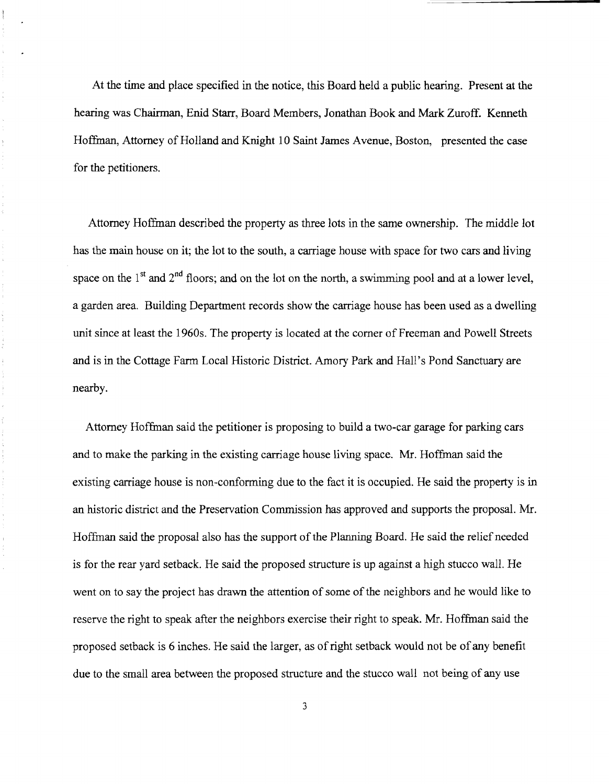At the time and place specified in the notice, this Board held a public hearing. Present at the hearing was Chairman, Enid Starr, Board Members, Jonathan Book and Mark Zuroff. Kenneth Hoffman, Attorney of Holland and Knight 10 Saint James Avenue, Boston, presented the case for the petitioners.

Attorney Hoffman described the property as three lots in the same ownership. The middle lot has the main house on it; the lot to the south, a carriage house with space for two cars and living space on the  $1<sup>st</sup>$  and  $2<sup>nd</sup>$  floors; and on the lot on the north, a swimming pool and at a lower level, a garden area. Building Department records show the carriage house has been used as a dwelling unit since at least the 1960s. The property is located at the corner of Freeman and Powell Streets and is in the Cottage Farm Local Historic District. Amory Park and Hall's Pond Sanctuary are nearby.

Attorney Hoffman said the petitioner is proposing to build a two-car garage for parking cars and to make the parking in the existing carriage house living space. Mr. Hoffman said the existing carriage house is non-conforming due to the fact it is occupied. He said the property is in an historic district and the Preservation Commission has approved and supports the proposal. Mr. Hoffman said the proposal also has the support of the Planning Board. He said the relief needed is for the rear yard setback. He said the proposed structure is up against a high stucco wall. He went on to say the project has drawn the attention of some of the neighbors and he would like to reserve the right to speak after the neighbors exercise their right to speak. Mr. Hoffman said the proposed setback is 6 inches. He said the larger, as ofright setback would not be of any benefit due to the small area between the proposed structure and the stucco wall not being of any use

3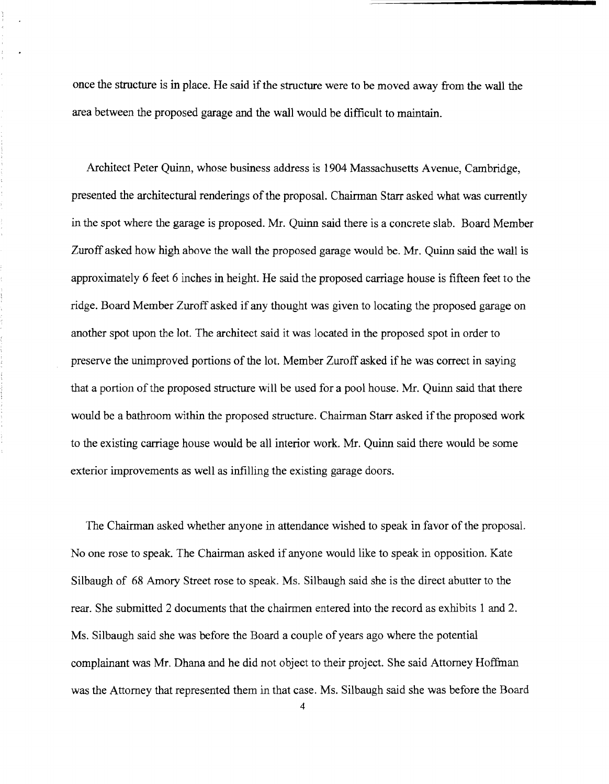once the structure is in place. He said if the structure were to be moved away from the wall the area between the proposed garage and the wall would be difficult to maintain.

Architect Peter Quinn, whose business address is 1904 Massachusetts Avenue, Cambridge, presented the architectural renderings of the proposal. Chairman Starr asked what was currently in the spot where the garage is proposed. Mr. Quinn said there is a concrete slab. Board Member Zuroff asked how high above the wall the proposed garage would be. Mr. Quinn said the wall is approximately 6 feet 6 inches in height. He said the proposed carriage house is fifteen feet to the ridge. Board Member Zuroff asked if any thought was given to locating the proposed garage on another spot upon the lot. The architect said it was located in the proposed spot in order to preserve the unimproved portions of the lot. Member Zuroff asked if he was correct in saying that a portion of the proposed structure will be used for a pool house. Mr. Quinn said that there would be a bathroom within the proposed structure. Chairman Starr asked if the proposed work to the existing carriage house would be all interior work. Mr. Quinn said there would be some exterior improvements as well as infilling the existing garage doors.

The Chairman asked whether anyone in attendance wished to speak in favor of the proposal. No one rose to speak. The Chairman asked if anyone would like to speak in opposition. Kate Silbaugh of 68 Amory Street rose to speak. Ms. Silbaugh said she is the direct abutter to the rear. She submitted 2 documents that the chairmen entered into the record as exhibits 1 and 2. Ms. Silbaugh said she was before the Board a couple of years ago where the potential complainant was Mr. Dhana and he did not object to their project. She said Attorney Hoffman was the Attorney that represented them in that case. Ms. Silbaugh said she was before the Board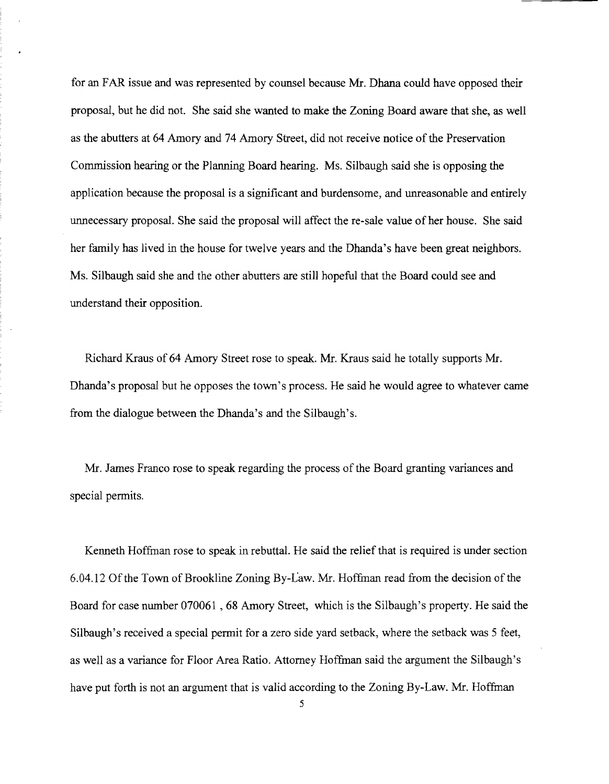for an FAR issue and was represented by counsel because Mr. Dhana could have opposed their proposal, but he did not. She said she wanted to make the Zoning Board aware that she, as well as the abutters at 64 Amory and 74 Amory Street, did not receive notice ofthe Preservation Commission hearing or the Planning Board hearing. Ms. Silbaugh said she is opposing the application because the proposal is a significant and burdensome, and unreasonable and entirely unnecessary proposal. She said the proposal will affect the re-sale value of her house. She said her family has lived in the house for twelve years and the Dhanda's have been great neighbors. Ms. Silbaugh said she and the other abutters are still hopeful that the Board could see and understand their opposition.

Richard Kraus of 64 Amory Street rose to speak. Mr. Kraus said he totally supports Mr. Dhanda's proposal but he opposes the town's process. He said he would agree to whatever came from the dialogue between the Dhanda's and the Silbaugh's.

Mr. James Franco rose to speak regarding the process of the Board granting variances and special permits.

Kenneth Hoffman rose to speak in rebuttal. He said the relief that is required is under section 6.04.12 Ofthe Town of Brookline Zoning By-Law. Mr. Hoffman read from the decision of the Board for case number 070061, 68 Amory Street, which is the Silbaugh's property. He said the Silbaugh's received a special permit for a zero side yard setback, where the setback was 5 feet, as well as a variance for Floor Area Ratio. Attorney Hoffman said the argument the Silbaugh's have put forth is not an argument that is valid according to the Zoning By-Law. Mr. Hoffman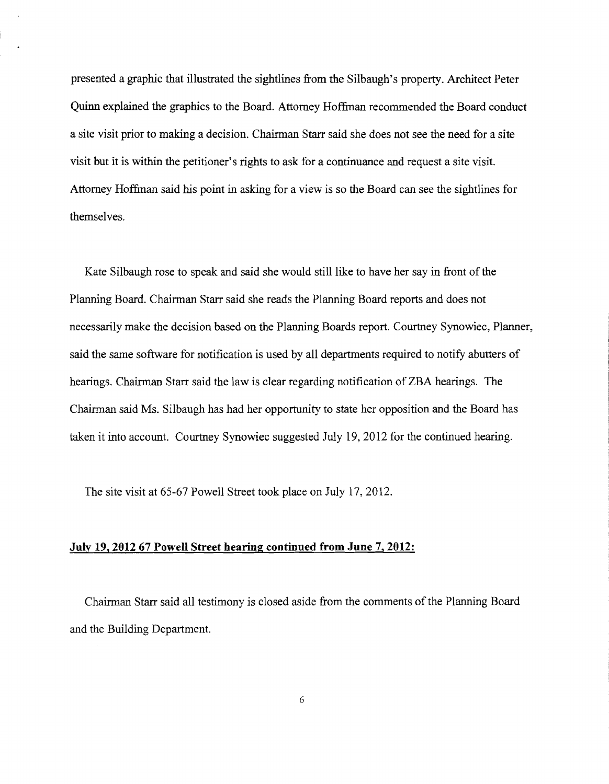presented a graphic that illustrated the sightlines from the Silbaugh's property. Architect Peter Quinn explained the graphics to the Board. Attorney Hoffman recommended the Board conduct a site visit prior to making a decision. Chairman Starr said she does not see the need for a site visit but it is within the petitioner's rights to ask for a continuance and request a site visit. Attorney Hoffman said his point in asking for a view is so the Board can see the sightlines for themselves.

Kate Silbaugh rose to speak and said she would still like to have her say in front of the Planning Board. Chairman Starr said she reads the Planning Board reports and does not necessarily make the decision based on the Planning Boards report. Courtney Synowiec, Planner, said the same software for notification is used by all departments required to notify abutters of hearings. Chairman Starr said the law is clear regarding notification of ZBA hearings. The Chairman said Ms. Silbaugh has had her opportunity to state her opposition and the Board has taken it into account. Courtney Synowiec suggested July 19,2012 for the continued hearing.

The site visit at 65-67 Powell Street took place on July 17,2012.

#### July 19,201267 Powell Street hearing continued from June 7, 2012:

Chairman Starr said all testimony is closed aside from the comments of the Planning Board and the Building Department.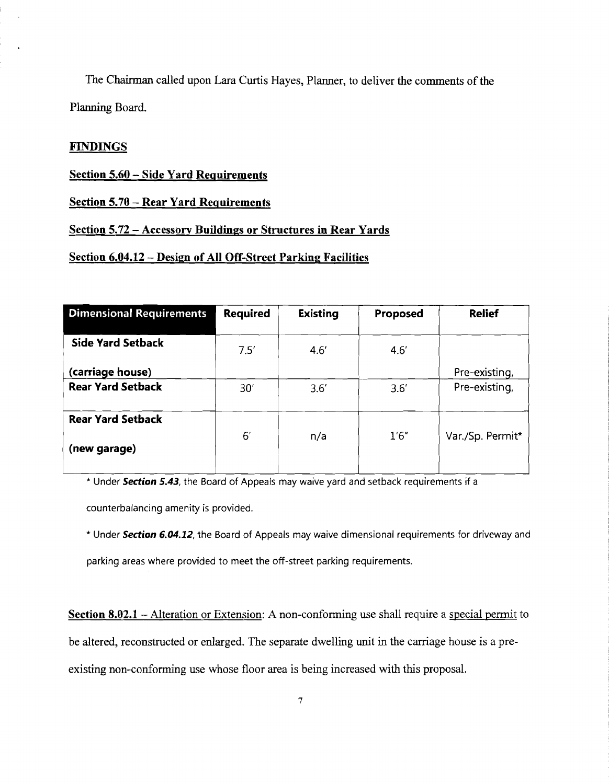The Chairman called upon Lara Curtis Hayes, Planner, to deliver the comments of the Planning Board.

## **FINDINGS**

#### **Section 5.60 - Side Yard Requirements**

#### **Section 5.70 - Rear Yard Requirements**

#### **Section 5.72** - **Accessory Buildings or Structures in Rear Yards**

#### **Section 6.04.12 - Design of All Off-Street Parking Facilities**

| <b>Required</b> | <b>Existing</b> | Proposed | <b>Relief</b>    |
|-----------------|-----------------|----------|------------------|
| 7.5'            | 4.6'            | 4.6'     |                  |
|                 |                 |          | Pre-existing,    |
| 30'             | 3.6'            | 3.6'     | Pre-existing,    |
| 6'              | n/a             | 1'6''    | Var./Sp. Permit* |
|                 |                 |          |                  |

\* Under *Section* **5.43,** the Board of Appeals may waive yard and setback requirements if a

counterbalancing amenity is provided.

\* Under *Section 6.04.12,* the Board of Appeals may waive dimensional requirements for driveway and

parking areas where provided to meet the off-street parking requirements.

**Section 8.02.1** – Alteration or Extension: A non-conforming use shall require a special permit to be altered, reconstructed or enlarged. The separate dwelling unit in the carriage house is a preexisting non-conforming use whose floor area is being increased with this proposal.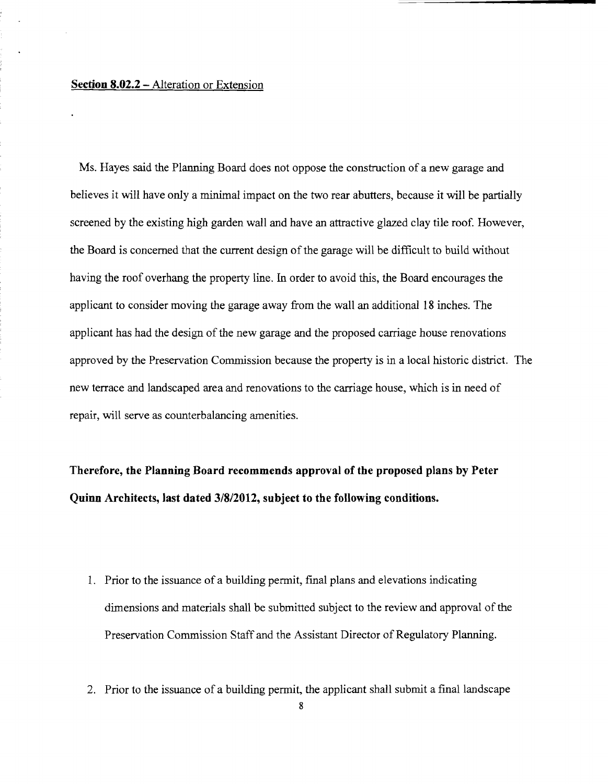# **Section 8.02.2 -** Alteration or Extension

Ms. Hayes said the Planning Board does not oppose the construction of a new garage and believes it will have only a minimal impact on the two rear abutters, because it will be partially screened by the existing high garden wall and have an attractive glazed clay tile roof. However, the Board is concerned that the current design of the garage will be difficult to build without having the roof overhang the property line. In order to avoid this, the Board encourages the applicant to consider moving the garage away from the wall an additional 18 inches. The applicant has had the design of the new garage and the proposed carriage house renovations approved by the Preservation Commission because the property is in a local historic district. The new terrace and landscaped area and renovations to the carriage house, which is in need of repair, will serve as counterbalancing amenities.

**Therefore, the Planning Board recommends approval of the proposed plans by Peter Quinn Architects, last dated 3/812012, subject to the following conditions.** 

- 1. Prior to the issuance of a building permit, final plans and elevations indicating dimensions and materials shall be submitted subject to the review and approval of the Preservation Commission Staff and the Assistant Director of Regulatory Planning.
- 2. Prior to the issuance of a building permit, the applicant shall submit a final landscape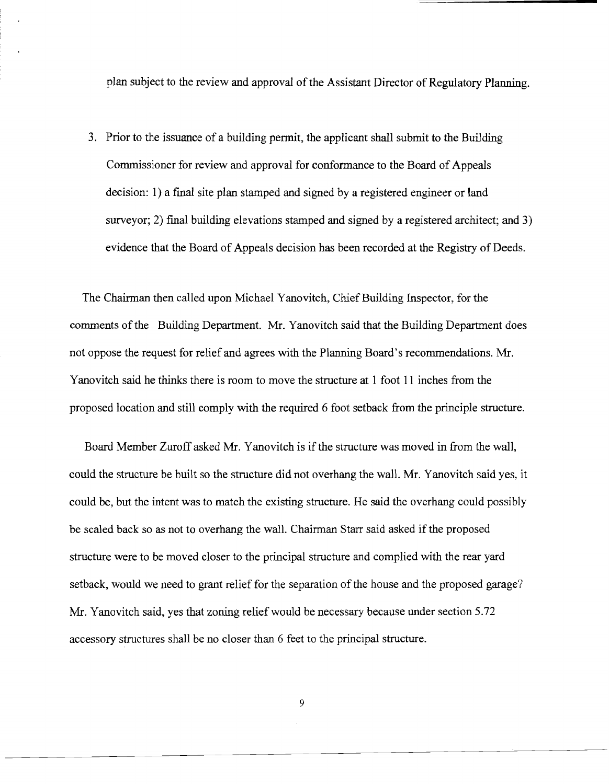plan subject to the review and approval of the Assistant Director of Regulatory Planning.

3. Prior to the issuance of a building pennit, the applicant shall submit to the Building Commissioner for review and approval for conformance to the Board of Appeals decision: 1) a fmal site plan stamped and signed by a registered engineer or land surveyor; 2) final building elevations stamped and signed by a registered architect; and 3) evidence that the Board of Appeals decision has been recorded at the Registry of Deeds.

The Chairman then called upon Michael Yanovitch, Chief Building Inspector, for the comments of the Building Department. Mr. Yanovitch said that the Building Department does not oppose the request for relief and agrees with the Planning Board's recommendations. Mr. Yanovitch said he thinks there is room to move the structure at 1 foot 11 inches from the proposed location and still comply with the required 6 foot setback from the principle structure.

Board Member Zuroff asked Mr. Yanovitch is if the structure was moved in from the wall, could the structure be built so the structure did not overhang the wall. Mr. Yanovitch said yes, it could be, but the intent was to match the existing structure. He said the overhang could possibly be scaled back so as not to overhang the wall. Chairman Starr said asked if the proposed structure were to be moved closer to the principal structure and complied with the rear yard setback, would we need to grant relief for the separation of the house and the proposed garage? Mr. Yanovitch said, yes that zoning relief would be necessary because under section 5.72 accessory structures shall be no closer than 6 feet to the principal structure.

9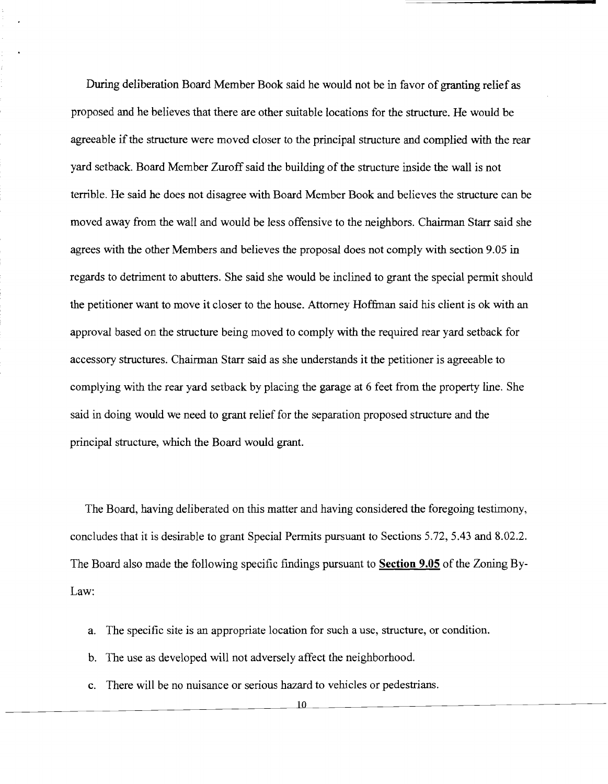During deliberation Board Member Book said he would not be in favor of granting relief as proposed and he believes that there are other suitable locations for the structure. He would be agreeable if the structure were moved closer to the principal structure and complied with the rear yard setback. Board Member Zuroff said the building of the structure inside the wall is not terrible. He said he does not disagree with Board Member Book and believes the structure can be moved away from the wall and would be less offensive to the neighbors. Chairman Starr said she agrees with the other Members and believes the proposal does not comply with section 9.05 in regards to detriment to abutters. She said she would be inclined to grant the special permit should the petitioner want to move it closer to the house. Attorney Hoffman said his client is ok with an approval based on the structure being moved to comply with the required rear yard setback for accessory structures. Chairman Starr said as she understands it the petitioner is agreeable to complying with the rear yard setback by placing the garage at 6 feet from the property line. She said in doing would we need to grant relief for the separation proposed structure and the principal structure, which the Board would grant.

The Board, having deliberated on this matter and having considered the foregoing testimony, concludes that it is desirable to grant Special Permits pursuant to Sections 5.72, 5.43 and 8.02.2. The Board also made the following specific fmdings pursuant to **Section 9.05** of the Zoning By-Law:

- a. The specific site is an appropriate location for such a use, structure, or condition.
- b. The use as developed will not adversely affect the neighborhood.
- c. There will be no nuisance or serious hazard to vehicles or pedestrians.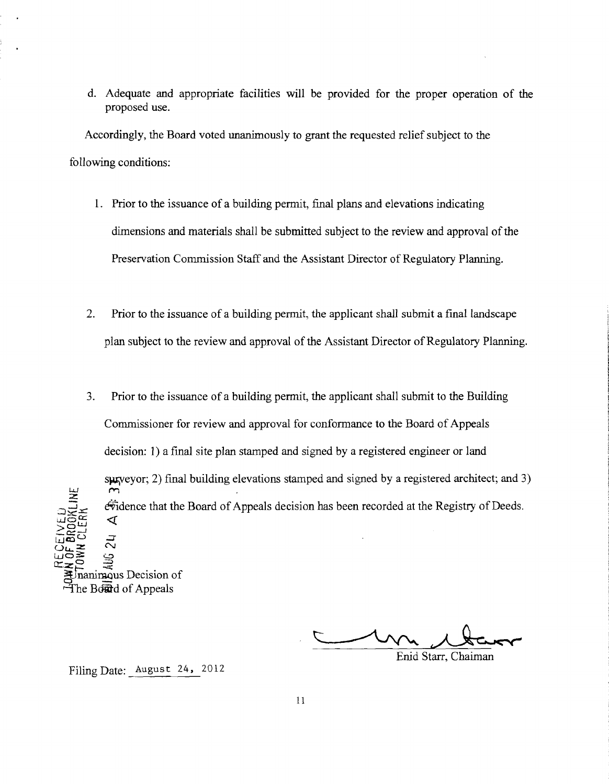d. Adequate and appropriate facilities will be provided for the proper operation of the proposed use.

Accordingly, the Board voted unanimously to grant the requested relief subject to the following conditions:

- 1. Prior to the issuance of a building permit, final plans and elevations indicating dimensions and materials shall be submitted subject to the review and approval of the Preservation Commission Staff and the Assistant Director of Regulatory Planning.
- 2. Prior to the issuance of a building permit, the applicant shall submit a final landscape plan subject to the review and approval of the Assistant Director of Regulatory Planning.
- 3. Prior to the issuance of a building permit, the applicant shall submit to the Building Commissioner for review and approval for conformance to the Board of Appeals decision: 1) a final site plan stamped and signed by a registered engineer or land  $s$ u, surveyor; 2) final building elevations stamped and signed by a registered architect; and 3) اندا  $\sim$ ٦ Z ֚֚֚֚֚֓  $\ddot{\text{w}}$  dence that the Board of Appeals decision has been recorded at the Registry of Deeds.  $\leq$  $\sum\limits_{i=1}^{n}\mathbb{Z}_{2}^{n}$  and  $\mathbb{Z}_{2}^{n}$ >중量  $\mathbb{Z}_{\text{m}}$ en c. Uu..2: *N*  ლი<br>ლნ≩ დ  $\mathbb{Z}$ z $\square$ nanimous Decision of  $\overline{f}$ he Bo $\overline{f}$ d of Appeals an bar

Enid Starr, Chaiman

Filing Date: August 24, 2012